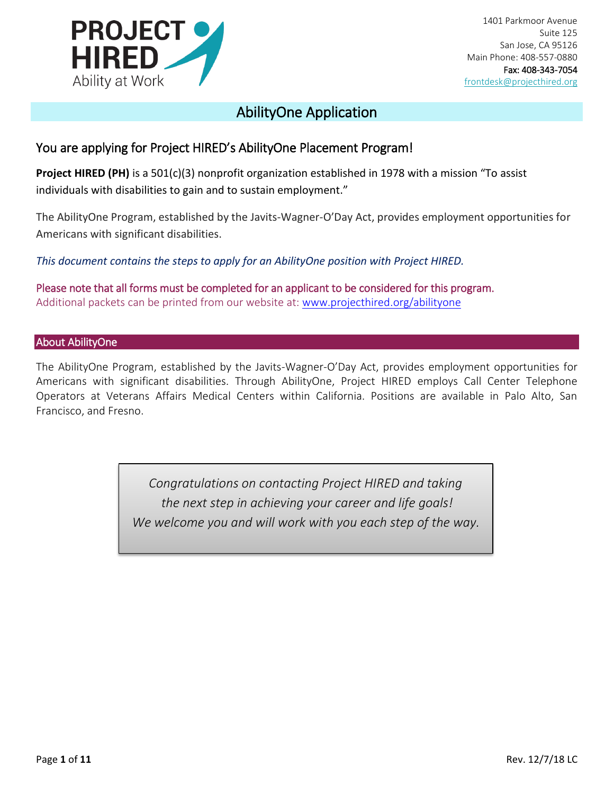

1401 Parkmoor Avenue Suite 125 San Jose, CA 95126 Main Phone: 408-557-0880 Fax: 408-343-7054 [frontdesk@projecthired.org](mailto:frontdesk@projecthired.org)

## AbilityOne Application

### You are applying for Project HIRED's AbilityOne Placement Program!

**Project HIRED (PH)** is a 501(c)(3) nonprofit organization established in 1978 with a mission "To assist individuals with disabilities to gain and to sustain employment."

The AbilityOne Program, established by the Javits-Wagner-O'Day Act, provides employment opportunities for Americans with significant disabilities.

*This document contains the steps to apply for an AbilityOne position with Project HIRED.*

Please note that all forms must be completed for an applicant to be considered for this program. Additional packets can be printed from our website at: [www.projecthired.org/abilityone](http://www.projecthired.org/abilityone)

#### About AbilityOne

The AbilityOne Program, established by the Javits-Wagner-O'Day Act, provides employment opportunities for Americans with significant disabilities. Through AbilityOne, Project HIRED employs Call Center Telephone Operators at Veterans Affairs Medical Centers within California. Positions are available in Palo Alto, San Francisco, and Fresno.

> *Congratulations on contacting Project HIRED and taking the next step in achieving your career and life goals! We welcome you and will work with you each step of the way.*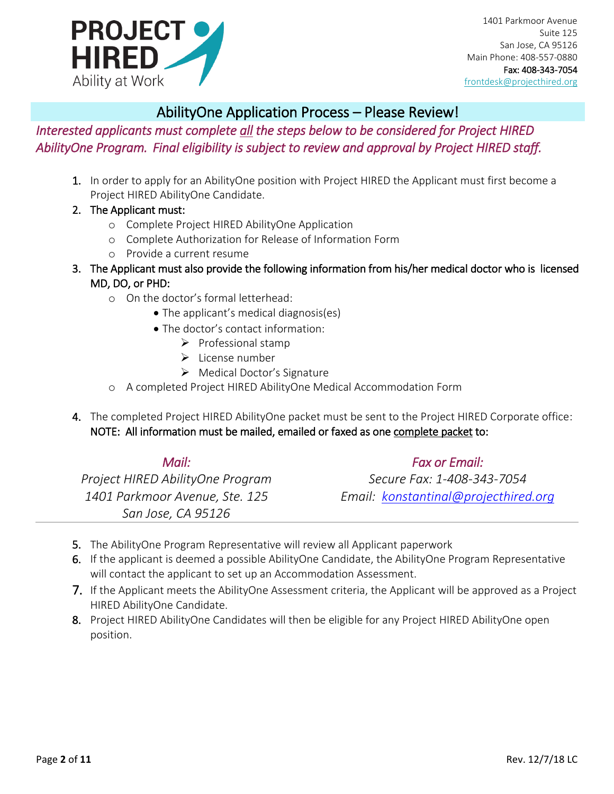

### AbilityOne Application Process – Please Review!

*Interested applicants must complete all the steps below to be considered for Project HIRED AbilityOne Program. Final eligibility is subject to review and approval by Project HIRED staff.* 

- 1. In order to apply for an AbilityOne position with Project HIRED the Applicant must first become a Project HIRED AbilityOne Candidate.
- 2. The Applicant must:
	- o Complete Project HIRED AbilityOne Application
	- o Complete Authorization for Release of Information Form
	- o Provide a current resume
- 3. The Applicant must also provide the following information from his/her medical doctor who is licensed MD, DO, or PHD:
	- o On the doctor's formal letterhead:
		- The applicant's medical diagnosis(es)
		- The doctor's contact information:
			- ➢ Professional stamp
			- ➢ License number
			- ➢ Medical Doctor's Signature
	- o A completed Project HIRED AbilityOne Medical Accommodation Form
- 4. The completed Project HIRED AbilityOne packet must be sent to the Project HIRED Corporate office: NOTE: All information must be mailed, emailed or faxed as one complete packet to:

| Mail:                            | <b>Fax or Email:</b>                 |
|----------------------------------|--------------------------------------|
| Project HIRED AbilityOne Program | Secure Fax: 1-408-343-7054           |
| 1401 Parkmoor Avenue, Ste. 125   | Email: konstantinal@projecthired.org |
| San Jose, CA 95126               |                                      |

- 5. The AbilityOne Program Representative will review all Applicant paperwork
- 6. If the applicant is deemed a possible AbilityOne Candidate, the AbilityOne Program Representative will contact the applicant to set up an Accommodation Assessment.
- 7. If the Applicant meets the AbilityOne Assessment criteria, the Applicant will be approved as a Project HIRED AbilityOne Candidate.
- 8. Project HIRED AbilityOne Candidates will then be eligible for any Project HIRED AbilityOne open position.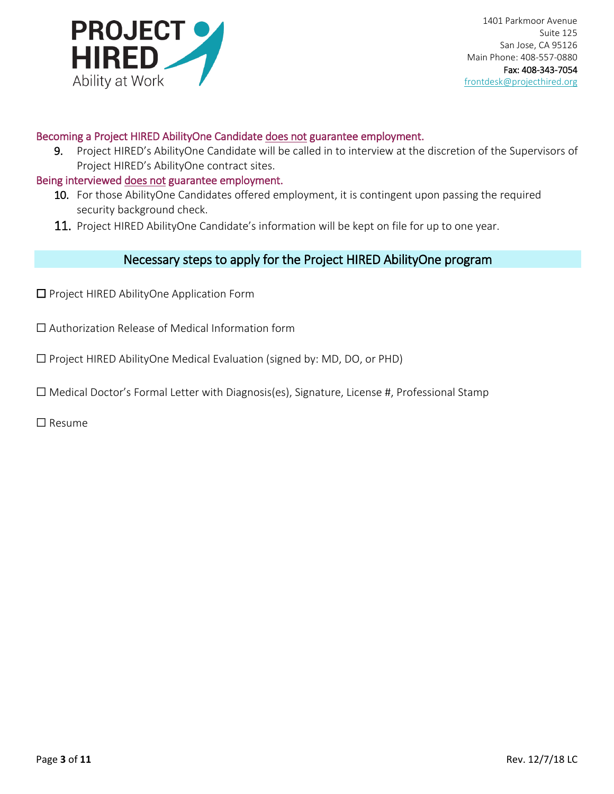

#### Becoming a Project HIRED AbilityOne Candidate does not guarantee employment.

9. Project HIRED's AbilityOne Candidate will be called in to interview at the discretion of the Supervisors of Project HIRED's AbilityOne contract sites.

#### Being interviewed does not guarantee employment.

- 10. For those AbilityOne Candidates offered employment, it is contingent upon passing the required security background check.
- 11. Project HIRED AbilityOne Candidate's information will be kept on file for up to one year.

#### Necessary steps to apply for the Project HIRED AbilityOne program

- ☐ Project HIRED AbilityOne Application Form
- ☐ Authorization Release of Medical Information form
- ☐ Project HIRED AbilityOne Medical Evaluation (signed by: MD, DO, or PHD)
- $\Box$  Medical Doctor's Formal Letter with Diagnosis(es), Signature, License #, Professional Stamp

☐ Resume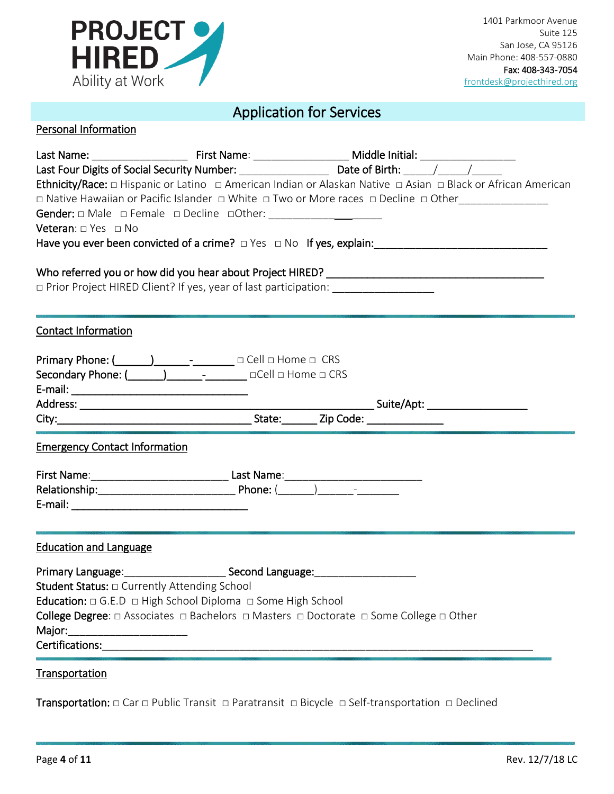

# Application for Services

### Personal Information

| Veteran: $\Box$ Yes $\Box$ No                                                                                                                                      | Ethnicity/Race: O Hispanic or Latino O American Indian or Alaskan Native O Asian O Black or African American<br>□ Native Hawaiian or Pacific Islander □ White □ Two or More races □ Decline □ Other_______________ |
|--------------------------------------------------------------------------------------------------------------------------------------------------------------------|--------------------------------------------------------------------------------------------------------------------------------------------------------------------------------------------------------------------|
| □ Prior Project HIRED Client? If yes, year of last participation: ____________________                                                                             |                                                                                                                                                                                                                    |
| <b>Contact Information</b>                                                                                                                                         |                                                                                                                                                                                                                    |
| Primary Phone: (____________________________ □ Cell □ Home □ CRS                                                                                                   |                                                                                                                                                                                                                    |
| <b>Emergency Contact Information</b>                                                                                                                               |                                                                                                                                                                                                                    |
|                                                                                                                                                                    |                                                                                                                                                                                                                    |
| <b>Education and Language</b>                                                                                                                                      |                                                                                                                                                                                                                    |
| Student Status: $\Box$ Currently Attending School<br><b>Education:</b> $\Box$ G.E.D $\Box$ High School Diploma $\Box$ Some High School<br>Major:<br>Transportation | College Degree: $\Box$ Associates $\Box$ Bachelors $\Box$ Masters $\Box$ Doctorate $\Box$ Some College $\Box$ Other                                                                                                |

Transportation: □ Car □ Public Transit □ Paratransit □ Bicycle □ Self-transportation □ Declined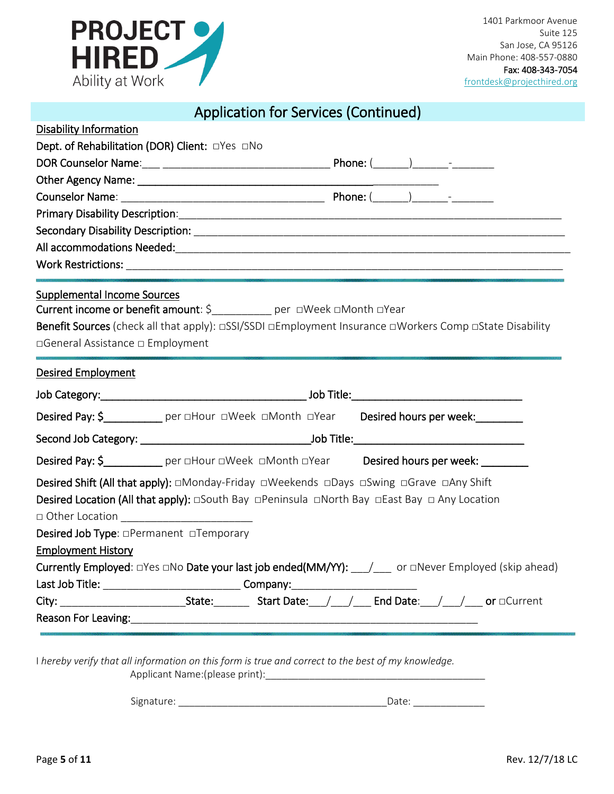

|  | <b>Application for Services (Continued)</b> |  |
|--|---------------------------------------------|--|
|--|---------------------------------------------|--|

| <b>Disability Information</b>                                                                                                                                                                                                                                                                                     |  |  |
|-------------------------------------------------------------------------------------------------------------------------------------------------------------------------------------------------------------------------------------------------------------------------------------------------------------------|--|--|
| Dept. of Rehabilitation (DOR) Client: OYes ONo                                                                                                                                                                                                                                                                    |  |  |
|                                                                                                                                                                                                                                                                                                                   |  |  |
|                                                                                                                                                                                                                                                                                                                   |  |  |
|                                                                                                                                                                                                                                                                                                                   |  |  |
|                                                                                                                                                                                                                                                                                                                   |  |  |
|                                                                                                                                                                                                                                                                                                                   |  |  |
|                                                                                                                                                                                                                                                                                                                   |  |  |
|                                                                                                                                                                                                                                                                                                                   |  |  |
| <b>Supplemental Income Sources</b><br>Current income or benefit amount: \$__________ per □Week □Month □Year<br><b>Benefit Sources</b> (check all that apply): □SSI/SSDI □Employment Insurance □Workers Comp □State Disability<br>□General Assistance □ Employment                                                 |  |  |
| <b>Desired Employment</b>                                                                                                                                                                                                                                                                                         |  |  |
|                                                                                                                                                                                                                                                                                                                   |  |  |
| Desired Pay: \$____________ per aHour aWeek aMonth aYear Desired hours per week:________                                                                                                                                                                                                                          |  |  |
|                                                                                                                                                                                                                                                                                                                   |  |  |
| Desired Pay: \$_____________ per oHour oWeek oMonth oYear Desired hours per week: _________                                                                                                                                                                                                                       |  |  |
| <b>Desired Shift (All that apply):</b> □Monday-Friday □Weekends □Days □Swing □Grave □Any Shift<br><b>Desired Location (All that apply):</b> $\Box$ South Bay $\Box$ Peninsula $\Box$ North Bay $\Box$ East Bay $\Box$ Any Location<br>Desired Job Type: <b>OPermanent</b> OTemporary<br><b>Employment History</b> |  |  |
| Currently Employed: DYes DNo Date your last job ended(MM/YY): ____/___ or DNever Employed (skip ahead)                                                                                                                                                                                                            |  |  |
| Last Job Title: ___________________________________Company:_____________________                                                                                                                                                                                                                                  |  |  |
| City: ______________________________State: ___________Start Date: ___/____/_____ End Date: ___/____/____ or □Current                                                                                                                                                                                              |  |  |
|                                                                                                                                                                                                                                                                                                                   |  |  |
|                                                                                                                                                                                                                                                                                                                   |  |  |
| I hereby verify that all information on this form is true and correct to the best of my knowledge.                                                                                                                                                                                                                |  |  |

Signature: \_\_\_\_\_\_\_\_\_\_\_\_\_\_\_\_\_\_\_\_\_\_\_\_\_\_\_\_\_\_\_\_\_\_\_\_\_\_Date: \_\_\_\_\_\_\_\_\_\_\_\_\_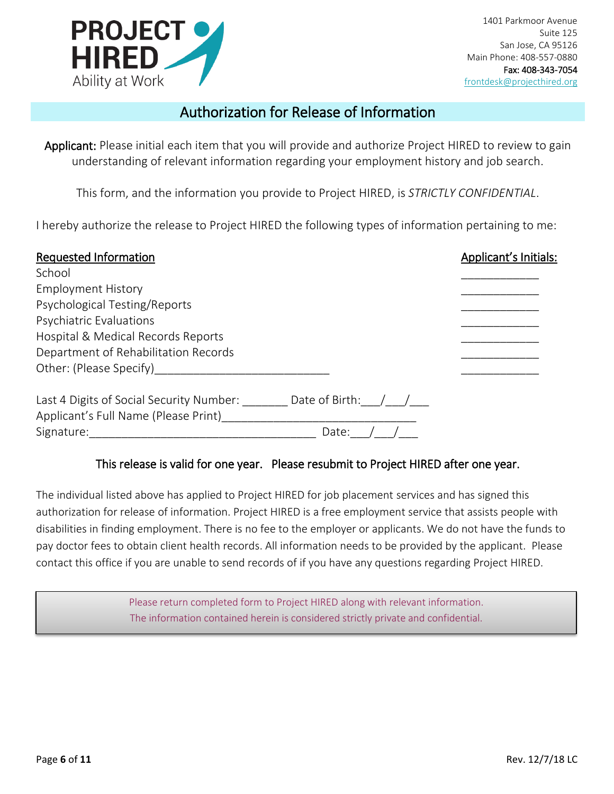

### Authorization for Release of Information

Applicant: Please initial each item that you will provide and authorize Project HIRED to review to gain understanding of relevant information regarding your employment history and job search.

This form, and the information you provide to Project HIRED, is *STRICTLY CONFIDENTIAL*.

I hereby authorize the release to Project HIRED the following types of information pertaining to me:

| Requested Information                    |                      | Applicant's Initials: |
|------------------------------------------|----------------------|-----------------------|
| School                                   |                      |                       |
| <b>Employment History</b>                |                      |                       |
| Psychological Testing/Reports            |                      |                       |
| Psychiatric Evaluations                  |                      |                       |
| Hospital & Medical Records Reports       |                      |                       |
| Department of Rehabilitation Records     |                      |                       |
| Other: (Please Specify)                  |                      |                       |
| Last 4 Digits of Social Security Number: | Date of Birth: $/$ / |                       |
| Applicant's Full Name (Please Print)     |                      |                       |
| Signature:                               | Date:                |                       |

#### This release is valid for one year. Please resubmit to Project HIRED after one year.

The individual listed above has applied to Project HIRED for job placement services and has signed this authorization for release of information. Project HIRED is a free employment service that assists people with disabilities in finding employment. There is no fee to the employer or applicants. We do not have the funds to pay doctor fees to obtain client health records. All information needs to be provided by the applicant. Please contact this office if you are unable to send records of if you have any questions regarding Project HIRED.

> Please return completed form to Project HIRED along with relevant information. The information contained herein is considered strictly private and confidential.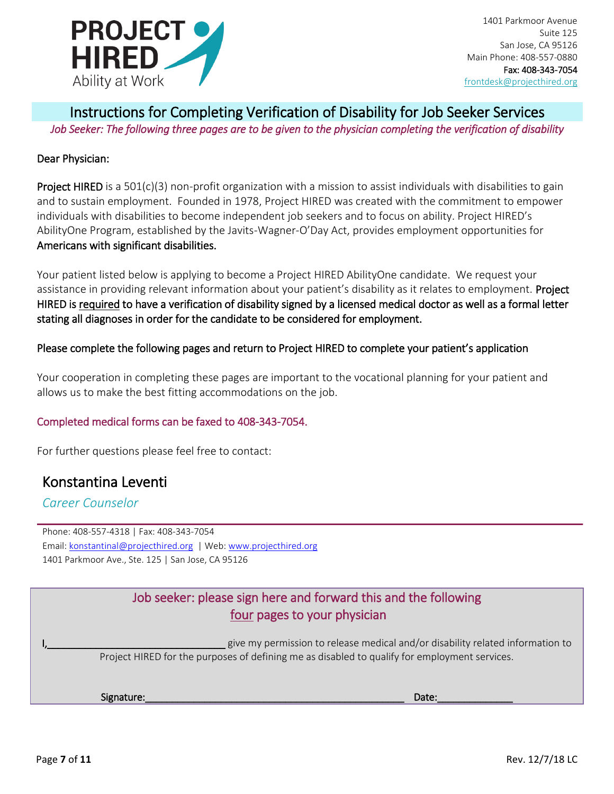

### Instructions for Completing Verification of Disability for Job Seeker Services *Job Seeker: The following three pages are to be given to the physician completing the verification of disability*

#### Dear Physician:

Project HIRED is a 501(c)(3) non-profit organization with a mission to assist individuals with disabilities to gain and to sustain employment. Founded in 1978, Project HIRED was created with the commitment to empower individuals with disabilities to become independent job seekers and to focus on ability. Project HIRED's AbilityOne Program, established by the Javits-Wagner-O'Day Act, provides employment opportunities for Americans with significant disabilities.

Your patient listed below is applying to become a Project HIRED AbilityOne candidate. We request your assistance in providing relevant information about your patient's disability as it relates to employment. Project HIRED is required to have a verification of disability signed by a licensed medical doctor as well as a formal letter stating all diagnoses in order for the candidate to be considered for employment.

#### Please complete the following pages and return to Project HIRED to complete your patient's application

Your cooperation in completing these pages are important to the vocational planning for your patient and allows us to make the best fitting accommodations on the job.

#### Completed medical forms can be faxed to 408-343-7054.

For further questions please feel free to contact:

### Konstantina Leventi

### *Career Counselor*

Phone: 408-557-4318 | Fax: 408-343-7054 Email: [konstantinal@projecthired.org](mailto:konstantinal@projecthired.org) | Web: [www.projecthired.org](http://www.projecthired.org/) 1401 Parkmoor Ave., Ste. 125 | San Jose, CA 95126

### Job seeker: please sign here and forward this and the following four pages to your physician

 $\_$  give my permission to release medical and/or disability related information to Project HIRED for the purposes of defining me as disabled to qualify for employment services.

Signature:\_\_\_\_\_\_\_\_\_\_\_\_\_\_\_\_\_\_\_\_\_\_\_\_\_\_\_\_\_\_\_\_\_\_\_\_\_\_\_\_\_\_\_\_\_\_\_\_ Date:\_\_\_\_\_\_\_\_\_\_\_\_\_\_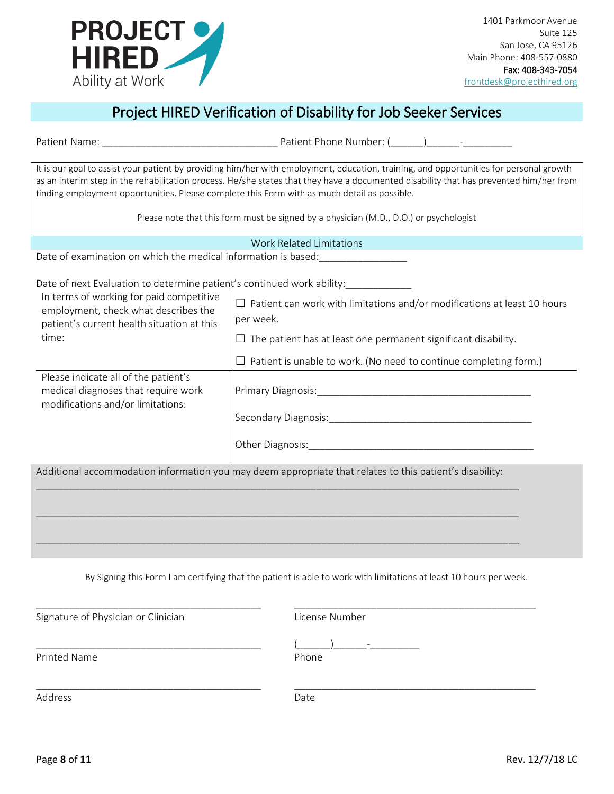

# Project HIRED Verification of Disability for Job Seeker Services

| finding employment opportunities. Please complete this Form with as much detail as possible.                                            | It is our goal to assist your patient by providing him/her with employment, education, training, and opportunities for personal growth<br>as an interim step in the rehabilitation process. He/she states that they have a documented disability that has prevented him/her from |
|-----------------------------------------------------------------------------------------------------------------------------------------|----------------------------------------------------------------------------------------------------------------------------------------------------------------------------------------------------------------------------------------------------------------------------------|
|                                                                                                                                         | Please note that this form must be signed by a physician (M.D., D.O.) or psychologist                                                                                                                                                                                            |
|                                                                                                                                         | <b>Work Related Limitations</b>                                                                                                                                                                                                                                                  |
| Date of examination on which the medical information is based:<br><u>Letter and the secondinal</u>                                      |                                                                                                                                                                                                                                                                                  |
| Date of next Evaluation to determine patient's continued work ability:<br>                                                              |                                                                                                                                                                                                                                                                                  |
| In terms of working for paid competitive<br>employment, check what describes the<br>patient's current health situation at this<br>time: | $\Box$ Patient can work with limitations and/or modifications at least 10 hours<br>per week.                                                                                                                                                                                     |
|                                                                                                                                         | $\Box$ The patient has at least one permanent significant disability.                                                                                                                                                                                                            |
|                                                                                                                                         | $\Box$ Patient is unable to work. (No need to continue completing form.)                                                                                                                                                                                                         |
| Please indicate all of the patient's<br>medical diagnoses that require work<br>modifications and/or limitations:                        |                                                                                                                                                                                                                                                                                  |
|                                                                                                                                         |                                                                                                                                                                                                                                                                                  |
|                                                                                                                                         |                                                                                                                                                                                                                                                                                  |
|                                                                                                                                         | Additional accommodation information you may deem appropriate that relates to this patient's disability:                                                                                                                                                                         |
|                                                                                                                                         |                                                                                                                                                                                                                                                                                  |
|                                                                                                                                         |                                                                                                                                                                                                                                                                                  |
|                                                                                                                                         |                                                                                                                                                                                                                                                                                  |

Patient Name:  $\qquad \qquad$  Patient Phone Number: ( $\qquad \qquad$ )

By Signing this Form I am certifying that the patient is able to work with limitations at least 10 hours per week.

| Signature of Physician or Clinician | License Number                    |
|-------------------------------------|-----------------------------------|
| <b>Printed Name</b>                 | $\overline{\phantom{a}}$<br>Phone |
| Address                             | Date                              |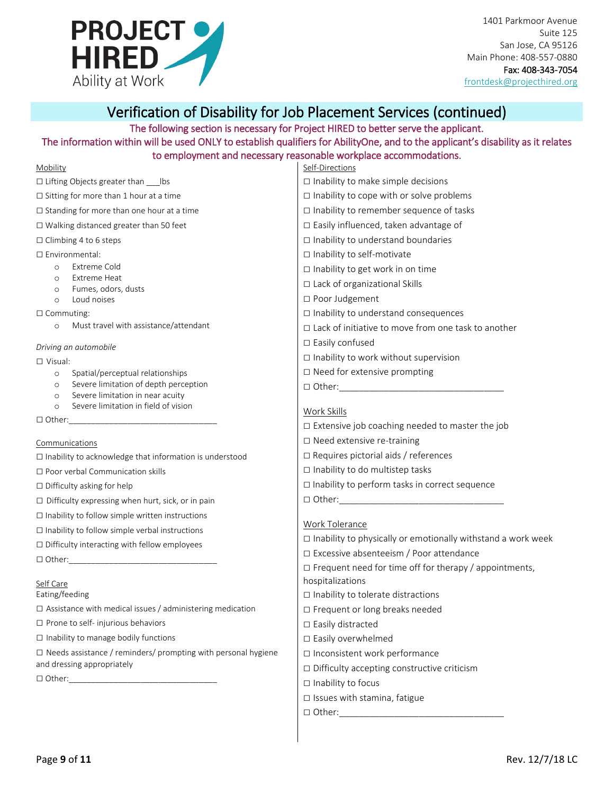

1401 Parkmoor Avenue Suite 125 San Jose, CA 95126 Main Phone: 408-557-0880 Fax: 408-343-7054 [frontdesk@projecthired.org](mailto:frontdesk@projecthired.org)

### Verification of Disability for Job Placement Services (continued)

# The following section is necessary for Project HIRED to better serve the applicant.

#### The information within will be used ONLY to establish qualifiers for AbilityOne, and to the applicant's disability as it relates to employment and necessary reasonable workplace accommodations.

|                                                                  | to employment and necessary reasonable workplace accommodations. |
|------------------------------------------------------------------|------------------------------------------------------------------|
| Mobility                                                         | Self-Directions                                                  |
| $\Box$ Lifting Objects greater than lbs                          | $\Box$ Inability to make simple decisions                        |
| $\Box$ Sitting for more than 1 hour at a time                    | $\Box$ Inability to cope with or solve problems                  |
| $\Box$ Standing for more than one hour at a time                 | $\Box$ Inability to remember sequence of tasks                   |
| $\Box$ Walking distanced greater than 50 feet                    | □ Easily influenced, taken advantage of                          |
| $\Box$ Climbing 4 to 6 steps                                     | $\Box$ Inability to understand boundaries                        |
| □ Environmental:                                                 | $\Box$ Inability to self-motivate                                |
| Extreme Cold<br>$\circ$                                          | $\Box$ Inability to get work in on time                          |
| <b>Extreme Heat</b><br>$\circ$<br>Fumes, odors, dusts<br>$\circ$ | □ Lack of organizational Skills                                  |
| Loud noises<br>$\circ$                                           | □ Poor Judgement                                                 |
| $\Box$ Commuting:                                                | $\Box$ Inability to understand consequences                      |
| Must travel with assistance/attendant<br>$\circ$                 | $\Box$ Lack of initiative to move from one task to another       |
| Driving an automobile                                            | $\Box$ Easily confused                                           |
| $\Box$ Visual:                                                   | $\Box$ Inability to work without supervision                     |
| Spatial/perceptual relationships<br>$\circ$                      | $\Box$ Need for extensive prompting                              |
| Severe limitation of depth perception<br>$\circ$                 | $\Box$ Other: $\Box$                                             |
| Severe limitation in near acuity<br>$\circ$                      |                                                                  |
| Severe limitation in field of vision<br>$\circ$                  | Work Skills                                                      |
| $\Box$ Other:                                                    | $\Box$ Extensive job coaching needed to master the job           |
| Communications                                                   | $\Box$ Need extensive re-training                                |

□ Inability to acknowledge that information is understood

□ Poor verbal Communication skills

□ Difficulty asking for help

□ Difficulty expressing when hurt, sick, or in pain

 $\square$  Inability to follow simple written instructions

□ Inability to follow simple verbal instructions

□ Difficulty interacting with fellow employees

 $\Box$  Other:

#### Self Care

Eating/feeding

 $\square$  Assistance with medical issues / administering medication

□ Prone to self- injurious behaviors

 $\square$  Inability to manage bodily functions

 $\square$  Needs assistance / reminders/ prompting with personal hygiene and dressing appropriately

 $\square$  Other:

- □ Need extensive re-training
- $\square$  Requires pictorial aids / references
- □ Inability to do multistep tasks
- □ Inability to perform tasks in correct sequence

 $\Box$  Other:

#### Work Tolerance

 $\square$  Inability to physically or emotionally withstand a work week □ Excessive absenteeism / Poor attendance □ Frequent need for time off for therapy / appointments,

hospitalizations □ Inability to tolerate distractions

- □ Frequent or long breaks needed
- □ Easily distracted
- □ Easily overwhelmed
- □ Inconsistent work performance
- $\square$  Difficulty accepting constructive criticism
- □ Inability to focus
- □ Issues with stamina, fatigue
- $\Box$  Other: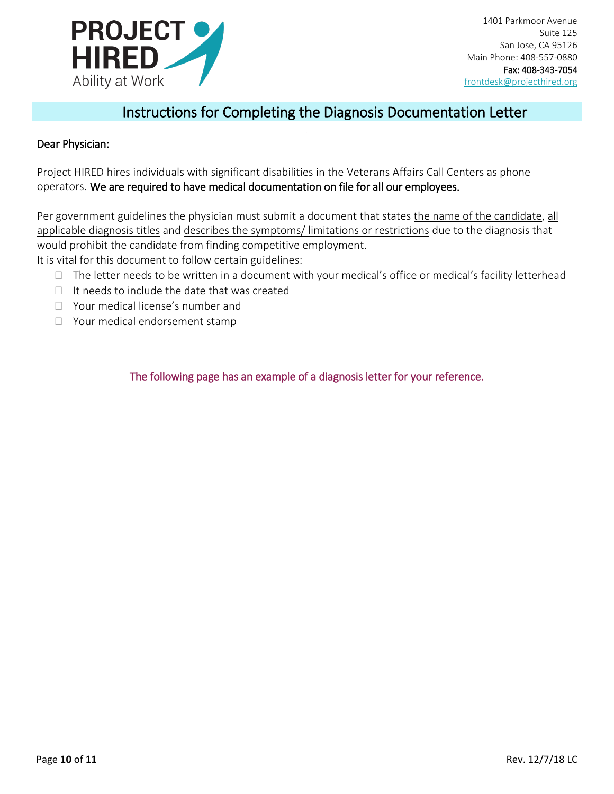

### Instructions for Completing the Diagnosis Documentation Letter

#### Dear Physician:

Project HIRED hires individuals with significant disabilities in the Veterans Affairs Call Centers as phone operators. We are required to have medical documentation on file for all our employees.

Per government guidelines the physician must submit a document that states the name of the candidate, all applicable diagnosis titles and describes the symptoms/ limitations or restrictions due to the diagnosis that would prohibit the candidate from finding competitive employment. It is vital for this document to follow certain guidelines:

 $\Box$  The letter needs to be written in a document with your medical's office or medical's facility letterhead

- $\Box$  It needs to include the date that was created
- Your medical license's number and
- □ Your medical endorsement stamp

The following page has an example of a diagnosis letter for your reference.